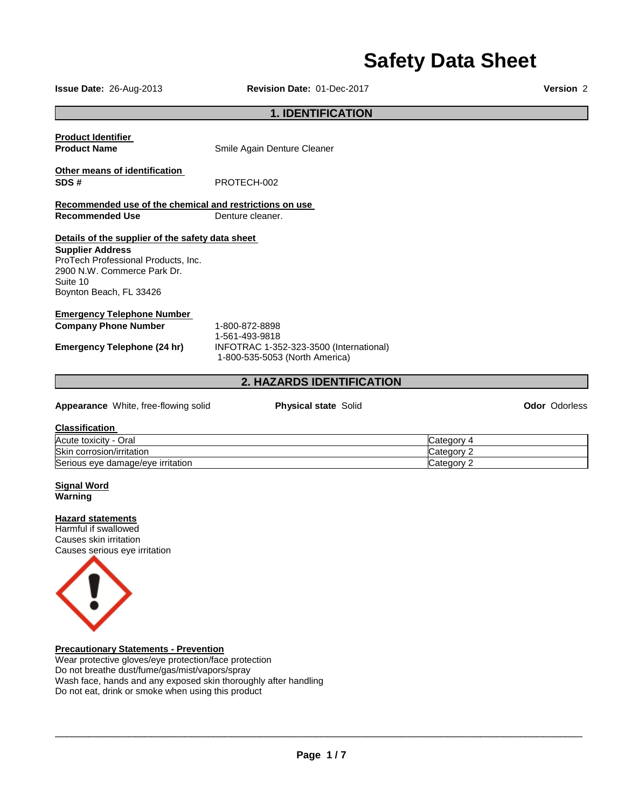# **Safety Data Sheet**

**Issue Date:** 26-Aug-2013 **Revision Date:** 01-Dec-2017 **Version** 2

#### **1. IDENTIFICATION**

**Product Identifier** 

**Product Name Smile Again Denture Cleaner** 

**Other means of identification SDS #** PROTECH-002

**Recommended use of the chemical and restrictions on use Recommended Use Commended Use Changer**.

#### **Details of the supplier of the safety data sheet**

**Supplier Address** ProTech Professional Products, Inc. 2900 N.W. Commerce Park Dr. Suite 10 Boynton Beach, FL 33426

### **Emergency Telephone Number**

**Company Phone Number** 1-800-872-8898

1-561-493-9818 **Emergency Telephone (24 hr)** INFOTRAC 1-352-323-3500 (International) 1-800-535-5053 (North America)

#### **2. HAZARDS IDENTIFICATION**

#### **Appearance** White, free-flowing solid **Physical state** Solid **Odor** Odorless

#### **Classification**

| Acute toxicity<br>Oral<br>$\overline{\phantom{0}}$ | ⊶ategor   |
|----------------------------------------------------|-----------|
| Skin<br>corrosion/irritation                       | ∵ategorvٽ |
| Serious eye damage/eye irritation                  | ∵ategor∨  |

#### **Signal Word Warning**

#### **Hazard statements**

Harmful if swallowed Causes skin irritation Causes serious eye irritation



#### **Precautionary Statements - Prevention**

Wear protective gloves/eye protection/face protection Do not breathe dust/fume/gas/mist/vapors/spray Wash face, hands and any exposed skin thoroughly after handling Do not eat, drink or smoke when using this product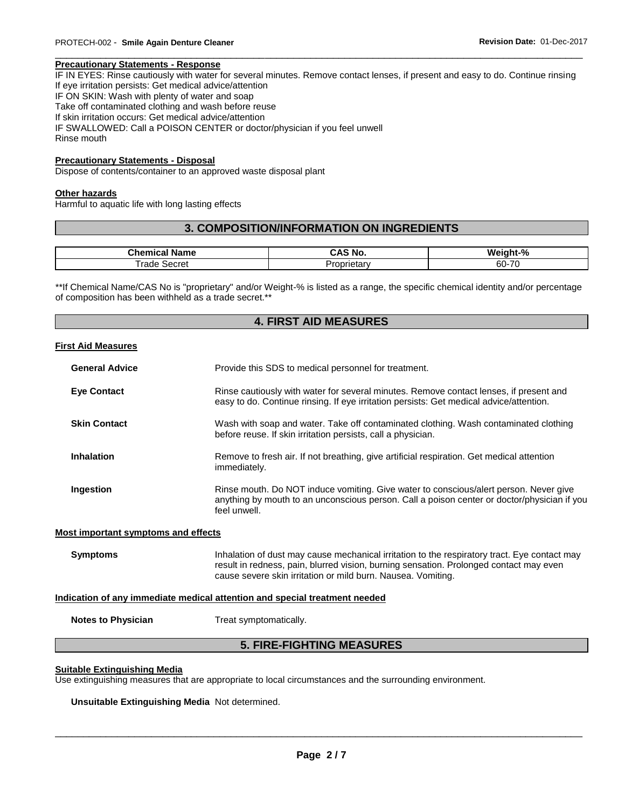#### **Precautionary Statements - Response**

IF IN EYES: Rinse cautiously with water for several minutes. Remove contact lenses, if present and easy to do. Continue rinsing If eye irritation persists: Get medical advice/attention IF ON SKIN: Wash with plenty of water and soap Take off contaminated clothing and wash before reuse If skin irritation occurs: Get medical advice/attention IF SWALLOWED: Call a POISON CENTER or doctor/physician if you feel unwell Rinse mouth

\_\_\_\_\_\_\_\_\_\_\_\_\_\_\_\_\_\_\_\_\_\_\_\_\_\_\_\_\_\_\_\_\_\_\_\_\_\_\_\_\_\_\_\_\_\_\_\_\_\_\_\_\_\_\_\_\_\_\_\_\_\_\_\_\_\_\_\_\_\_\_\_\_\_\_\_\_\_\_\_\_\_\_\_\_\_\_\_\_\_\_\_\_

#### **Precautionary Statements - Disposal**

Dispose of contents/container to an approved waste disposal plant

#### **Other hazards**

Harmful to aquatic life with long lasting effects

#### **3. COMPOSITION/INFORMATION ON INGREDIENTS**

| <b>Phamis</b><br>Name<br>-91 | . .<br>`No.<br>CAS | Weight-%                               |
|------------------------------|--------------------|----------------------------------------|
| ⊺rade<br>Secret              | .<br>rietarv<br>U  | $\overline{\phantom{a}}$<br>60-<br>. . |

\*\*If Chemical Name/CAS No is "proprietary" and/or Weight-% is listed as a range, the specific chemical identity and/or percentage of composition has been withheld as a trade secret.\*\*

#### **4. FIRST AID MEASURES**

#### **First Aid Measures**

| <b>General Advice</b> | Provide this SDS to medical personnel for treatment.                                                                                                                                                 |
|-----------------------|------------------------------------------------------------------------------------------------------------------------------------------------------------------------------------------------------|
| <b>Eve Contact</b>    | Rinse cautiously with water for several minutes. Remove contact lenses, if present and<br>easy to do. Continue rinsing. If eye irritation persists: Get medical advice/attention.                    |
| <b>Skin Contact</b>   | Wash with soap and water. Take off contaminated clothing. Wash contaminated clothing<br>before reuse. If skin irritation persists, call a physician.                                                 |
| <b>Inhalation</b>     | Remove to fresh air. If not breathing, give artificial respiration. Get medical attention<br>immediately.                                                                                            |
| Ingestion             | Rinse mouth. Do NOT induce vomiting. Give water to conscious/alert person. Never give<br>anything by mouth to an unconscious person. Call a poison center or doctor/physician if you<br>feel unwell. |

#### **Most important symptoms and effects**

**Symptoms Inhalation of dust may cause mechanical irritation to the respiratory tract. Eye contact may cause mechanical irritation to the respiratory tract. Eye contact may** result in redness, pain, blurred vision, burning sensation. Prolonged contact may even cause severe skin irritation or mild burn. Nausea. Vomiting.

#### **Indication of any immediate medical attention and special treatment needed**

**Notes to Physician**  Treat symptomatically.

#### **5. FIRE-FIGHTING MEASURES**

#### **Suitable Extinguishing Media**

Use extinguishing measures that are appropriate to local circumstances and the surrounding environment.

**Unsuitable Extinguishing Media** Not determined.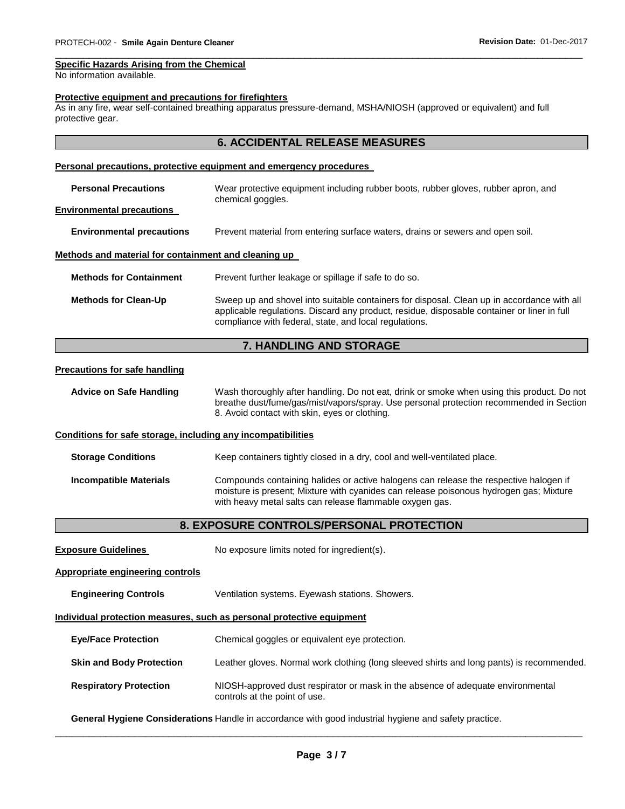#### **Specific Hazards Arising from the Chemical**

No information available.

#### **Protective equipment and precautions for firefighters**

As in any fire, wear self-contained breathing apparatus pressure-demand, MSHA/NIOSH (approved or equivalent) and full protective gear.

#### **6. ACCIDENTAL RELEASE MEASURES**

\_\_\_\_\_\_\_\_\_\_\_\_\_\_\_\_\_\_\_\_\_\_\_\_\_\_\_\_\_\_\_\_\_\_\_\_\_\_\_\_\_\_\_\_\_\_\_\_\_\_\_\_\_\_\_\_\_\_\_\_\_\_\_\_\_\_\_\_\_\_\_\_\_\_\_\_\_\_\_\_\_\_\_\_\_\_\_\_\_\_\_\_\_

#### **Personal precautions, protective equipment and emergency procedures**

| <b>Personal Precautions</b>                          | Wear protective equipment including rubber boots, rubber gloves, rubber apron, and<br>chemical goggles.                                                                                                                                             |  |
|------------------------------------------------------|-----------------------------------------------------------------------------------------------------------------------------------------------------------------------------------------------------------------------------------------------------|--|
| <b>Environmental precautions</b>                     |                                                                                                                                                                                                                                                     |  |
| <b>Environmental precautions</b>                     | Prevent material from entering surface waters, drains or sewers and open soil.                                                                                                                                                                      |  |
| Methods and material for containment and cleaning up |                                                                                                                                                                                                                                                     |  |
| <b>Methods for Containment</b>                       | Prevent further leakage or spillage if safe to do so.                                                                                                                                                                                               |  |
| <b>Methods for Clean-Up</b>                          | Sweep up and shovel into suitable containers for disposal. Clean up in accordance with all<br>applicable regulations. Discard any product, residue, disposable container or liner in full<br>compliance with federal, state, and local regulations. |  |

#### **7. HANDLING AND STORAGE**

#### **Precautions for safe handling**

| <b>Advice on Safe Handling</b>                               | Wash thoroughly after handling. Do not eat, drink or smoke when using this product. Do not<br>breathe dust/fume/gas/mist/vapors/spray. Use personal protection recommended in Section<br>8. Avoid contact with skin, eyes or clothing. |
|--------------------------------------------------------------|----------------------------------------------------------------------------------------------------------------------------------------------------------------------------------------------------------------------------------------|
| Conditions for safe storage, including any incompatibilities |                                                                                                                                                                                                                                        |
| <b>Storage Conditions</b>                                    | Keep containers tightly closed in a dry, cool and well-ventilated place.                                                                                                                                                               |
| <b>Incompatible Materials</b>                                | Compounds containing halides or active halogens can release the respective halogen if<br>moisture is present; Mixture with cyanides can release poisonous hydrogen gas; Mixture                                                        |

## with heavy metal salts can release flammable oxygen gas. **8. EXPOSURE CONTROLS/PERSONAL PROTECTION**

**Exposure Guidelines** No exposure limits noted for ingredient(s).

#### **Appropriate engineering controls**

**Engineering Controls** Ventilation systems. Eyewash stations. Showers.

#### **Individual protection measures, such as personal protective equipment**

- **Eye/Face Protection** Chemical goggles or equivalent eye protection.
- **Skin and Body Protection** Leather gloves. Normal work clothing (long sleeved shirts and long pants) is recommended.
- **Respiratory Protection** NIOSH-approved dust respirator or mask in the absence of adequate environmental controls at the point of use.

**General Hygiene Considerations** Handle in accordance with good industrial hygiene and safety practice.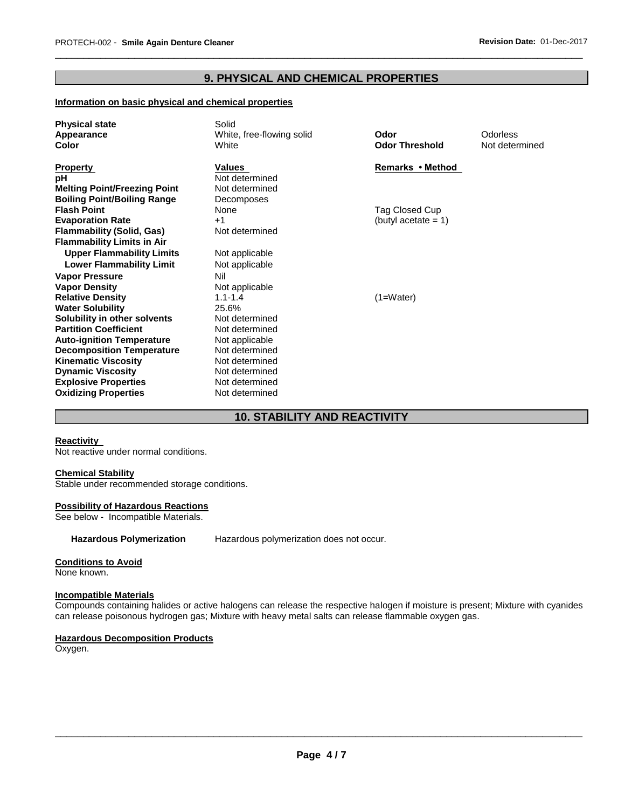### **9. PHYSICAL AND CHEMICAL PROPERTIES**

\_\_\_\_\_\_\_\_\_\_\_\_\_\_\_\_\_\_\_\_\_\_\_\_\_\_\_\_\_\_\_\_\_\_\_\_\_\_\_\_\_\_\_\_\_\_\_\_\_\_\_\_\_\_\_\_\_\_\_\_\_\_\_\_\_\_\_\_\_\_\_\_\_\_\_\_\_\_\_\_\_\_\_\_\_\_\_\_\_\_\_\_\_

#### **Information on basic physical and chemical properties**

| <b>Physical state</b><br>Appearance<br>Color                                                       | Solid<br>White, free-flowing solid<br>White              | Odor<br><b>Odor Threshold</b> | Odorless<br>Not determined |
|----------------------------------------------------------------------------------------------------|----------------------------------------------------------|-------------------------------|----------------------------|
| <b>Property</b><br>рH<br><b>Melting Point/Freezing Point</b><br><b>Boiling Point/Boiling Range</b> | Values<br>Not determined<br>Not determined<br>Decomposes | Remarks • Method              |                            |
| <b>Flash Point</b>                                                                                 | None                                                     | Tag Closed Cup                |                            |
| <b>Evaporation Rate</b>                                                                            | $+1$                                                     | (butyl acetate $= 1$ )        |                            |
| <b>Flammability (Solid, Gas)</b><br><b>Flammability Limits in Air</b>                              | Not determined                                           |                               |                            |
| <b>Upper Flammability Limits</b>                                                                   | Not applicable                                           |                               |                            |
| <b>Lower Flammability Limit</b>                                                                    | Not applicable                                           |                               |                            |
| <b>Vapor Pressure</b>                                                                              | Nil                                                      |                               |                            |
| <b>Vapor Density</b>                                                                               | Not applicable                                           |                               |                            |
| <b>Relative Density</b>                                                                            | $1.1 - 1.4$                                              | $(1=Water)$                   |                            |
| <b>Water Solubility</b>                                                                            | 25.6%                                                    |                               |                            |
| Solubility in other solvents                                                                       | Not determined                                           |                               |                            |
| <b>Partition Coefficient</b><br><b>Auto-ignition Temperature</b>                                   | Not determined<br>Not applicable                         |                               |                            |
| <b>Decomposition Temperature</b>                                                                   | Not determined                                           |                               |                            |
| <b>Kinematic Viscosity</b>                                                                         | Not determined                                           |                               |                            |
| <b>Dynamic Viscosity</b>                                                                           | Not determined                                           |                               |                            |
| <b>Explosive Properties</b>                                                                        | Not determined                                           |                               |                            |
| <b>Oxidizing Properties</b>                                                                        | Not determined                                           |                               |                            |

### **10. STABILITY AND REACTIVITY**

#### **Reactivity**

Not reactive under normal conditions.

#### **Chemical Stability**

Stable under recommended storage conditions.

#### **Possibility of Hazardous Reactions**

See below - Incompatible Materials.

**Hazardous Polymerization** Hazardous polymerization does not occur.

#### **Conditions to Avoid**

None known.

#### **Incompatible Materials**

Compounds containing halides or active halogens can release the respective halogen if moisture is present; Mixture with cyanides can release poisonous hydrogen gas; Mixture with heavy metal salts can release flammable oxygen gas.

#### **Hazardous Decomposition Products**

Oxygen.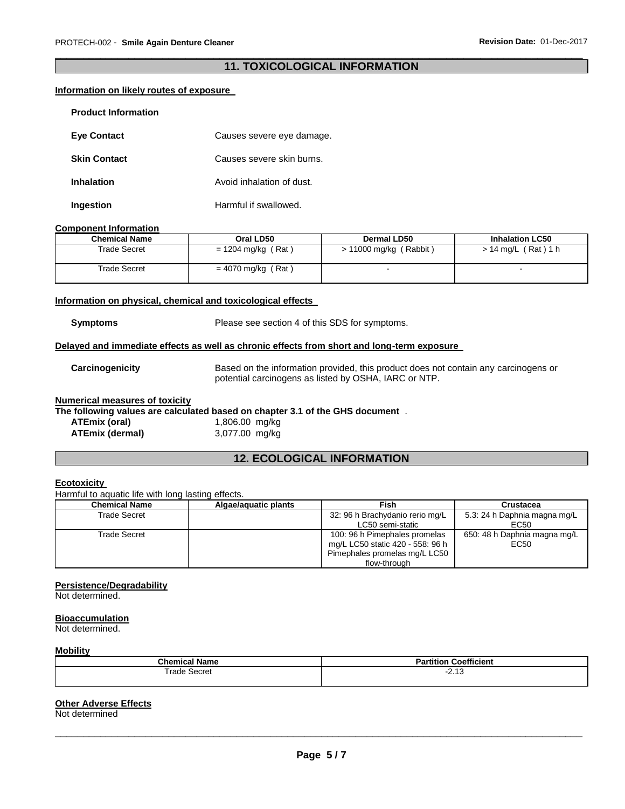#### \_\_\_\_\_\_\_\_\_\_\_\_\_\_\_\_\_\_\_\_\_\_\_\_\_\_\_\_\_\_\_\_\_\_\_\_\_\_\_\_\_\_\_\_\_\_\_\_\_\_\_\_\_\_\_\_\_\_\_\_\_\_\_\_\_\_\_\_\_\_\_\_\_\_\_\_\_\_\_\_\_\_\_\_\_\_\_\_\_\_\_\_\_ **11. TOXICOLOGICAL INFORMATION**

#### **Information on likely routes of exposure**

| <b>Product Information</b> |                           |
|----------------------------|---------------------------|
| <b>Eve Contact</b>         | Causes severe eye damage. |
| <b>Skin Contact</b>        | Causes severe skin burns. |
| Inhalation                 | Avoid inhalation of dust. |
| Ingestion                  | Harmful if swallowed.     |

#### **Component Information**

| <b>Chemical Name</b> | Oral LD50          | Dermal LD50            | <b>Inhalation LC50</b> |
|----------------------|--------------------|------------------------|------------------------|
| Trade Secret         | = 1204 mg/kg (Rat) | > 11000 mg/kg (Rabbit) | > 14 mg/L (Rat)1 h     |
| Trade Secret         | = 4070 mg/kg (Rat) |                        |                        |

#### **Information on physical, chemical and toxicological effects**

**Symptoms** Please see section 4 of this SDS for symptoms.

#### **Delayed and immediate effects as well as chronic effects from short and long-term exposure**

**Carcinogenicity** Based on the information provided, this product does not contain any carcinogens or potential carcinogens as listed by OSHA, IARC or NTP.

#### **Numerical measures of toxicity**

#### **The following values are calculated based on chapter 3.1 of the GHS document** .

| ATEmix (oral)   | 1,806.00 mg/kg |  |
|-----------------|----------------|--|
| ATEmix (dermal) | 3,077.00 mg/kg |  |

### **12. ECOLOGICAL INFORMATION**

#### **Ecotoxicity**

Harmful to aquatic life with long lasting effects.

| <b>Chemical Name</b> | Algae/aquatic plants | Fish                                                                                                               | Crustacea                            |
|----------------------|----------------------|--------------------------------------------------------------------------------------------------------------------|--------------------------------------|
| Trade Secret         |                      | 32: 96 h Brachydanio rerio mg/L<br>LC50 semi-static                                                                | 5.3: 24 h Daphnia magna mg/L<br>EC50 |
| Trade Secret         |                      | 100: 96 h Pimephales promelas<br>mg/L LC50 static 420 - 558: 96 h<br>Pimephales promelas mg/L LC50<br>flow-through | 650: 48 h Daphnia magna mg/L<br>EC50 |

#### **Persistence/Degradability**

Not determined.

#### **Bioaccumulation**

Not determined.

#### **Mobility**

| - -               | <b>Coefficient</b> |
|-------------------|--------------------|
| Chemical Name     | <b>Partition</b>   |
| Trade<br>: Secret | ں ہے۔              |

#### **Other Adverse Effects**

Not determined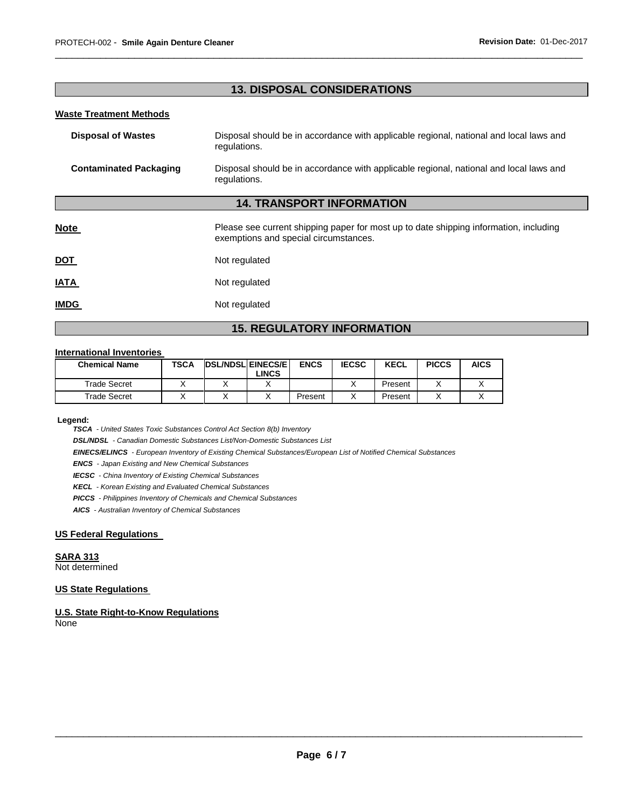### **13. DISPOSAL CONSIDERATIONS**

\_\_\_\_\_\_\_\_\_\_\_\_\_\_\_\_\_\_\_\_\_\_\_\_\_\_\_\_\_\_\_\_\_\_\_\_\_\_\_\_\_\_\_\_\_\_\_\_\_\_\_\_\_\_\_\_\_\_\_\_\_\_\_\_\_\_\_\_\_\_\_\_\_\_\_\_\_\_\_\_\_\_\_\_\_\_\_\_\_\_\_\_\_

#### **Waste Treatment Methods**

| <b>Disposal of Wastes</b>     | Disposal should be in accordance with applicable regional, national and local laws and<br>regulations.                         |
|-------------------------------|--------------------------------------------------------------------------------------------------------------------------------|
| <b>Contaminated Packaging</b> | Disposal should be in accordance with applicable regional, national and local laws and<br>regulations.                         |
|                               | <b>14. TRANSPORT INFORMATION</b>                                                                                               |
| <b>Note</b>                   | Please see current shipping paper for most up to date shipping information, including<br>exemptions and special circumstances. |
| <b>DOT</b>                    | Not regulated                                                                                                                  |
| <b>IATA</b>                   | Not regulated                                                                                                                  |
| <b>IMDG</b>                   | Not regulated                                                                                                                  |

### **15. REGULATORY INFORMATION**

#### **International Inventories**

| <b>Chemical Name</b> | TSCA | <b>DSL/NDSL EINECS/E</b> | LINCS. | <b>ENCS</b> | <b>IECSC</b> | <b>KECL</b> | <b>PICCS</b> | AICS |
|----------------------|------|--------------------------|--------|-------------|--------------|-------------|--------------|------|
| Trade Secret         |      |                          |        |             |              | Present     |              |      |
| Trade Secret         |      |                          |        | Present     |              | Present     |              |      |

**Legend:** 

*TSCA - United States Toxic Substances Control Act Section 8(b) Inventory* 

*DSL/NDSL - Canadian Domestic Substances List/Non-Domestic Substances List* 

*EINECS/ELINCS - European Inventory of Existing Chemical Substances/European List of Notified Chemical Substances* 

*ENCS - Japan Existing and New Chemical Substances* 

*IECSC - China Inventory of Existing Chemical Substances* 

*KECL - Korean Existing and Evaluated Chemical Substances* 

*PICCS - Philippines Inventory of Chemicals and Chemical Substances* 

*AICS - Australian Inventory of Chemical Substances* 

#### **US Federal Regulations**

#### **SARA 313**

Not determined

#### **US State Regulations**

**U.S. State Right-to-Know Regulations** None